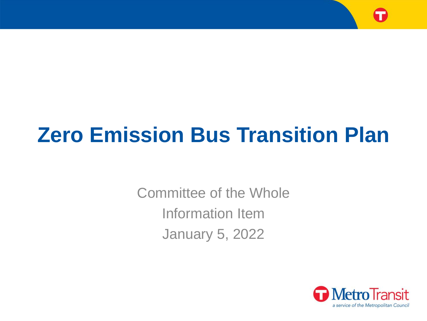

# **Zero Emission Bus Transition Plan**

Committee of the Whole Information Item January 5, 2022

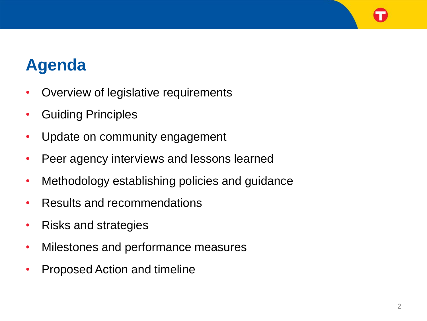## **Agenda**

- Overview of legislative requirements
- Guiding Principles
- Update on community engagement
- Peer agency interviews and lessons learned
- Methodology establishing policies and guidance
- Results and recommendations
- Risks and strategies
- Milestones and performance measures
- Proposed Action and timeline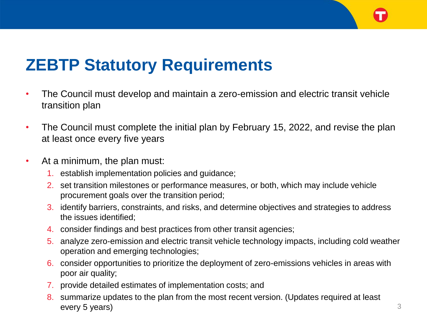

## **ZEBTP Statutory Requirements**

- The Council must develop and maintain a zero-emission and electric transit vehicle transition plan
- The Council must complete the initial plan by February 15, 2022, and revise the plan at least once every five years
- At a minimum, the plan must:
	- 1. establish implementation policies and guidance;
	- 2. set transition milestones or performance measures, or both, which may include vehicle procurement goals over the transition period;
	- 3. identify barriers, constraints, and risks, and determine objectives and strategies to address the issues identified;
	- 4. consider findings and best practices from other transit agencies;
	- 5. analyze zero-emission and electric transit vehicle technology impacts, including cold weather operation and emerging technologies;
	- 6. consider opportunities to prioritize the deployment of zero-emissions vehicles in areas with poor air quality;
	- 7. provide detailed estimates of implementation costs; and
	- 8. summarize updates to the plan from the most recent version. (Updates required at least every 5 years) 3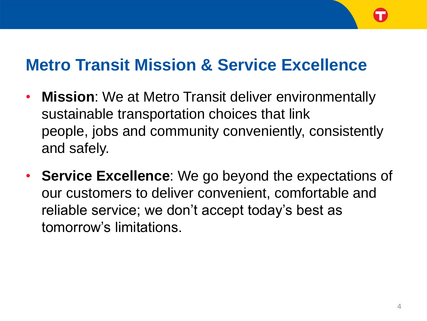#### **Metro Transit Mission & Service Excellence**

- **Mission**: We at Metro Transit deliver environmentally sustainable transportation choices that link people, jobs and community conveniently, consistently and safely.
- **Service Excellence**: We go beyond the expectations of our customers to deliver convenient, comfortable and reliable service; we don't accept today's best as tomorrow's limitations.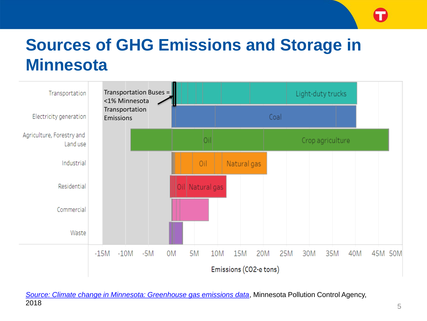## **Sources of GHG Emissions and Storage in Minnesota**



*[Source: Climate change in Minnesota: Greenhouse gas emissions data](https://www.pca.state.mn.us/air/greenhouse-gas-emissions-data)*, Minnesota Pollution Control Agency, 2018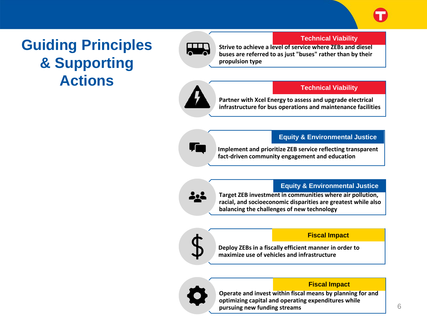#### **Guiding Principles & Supporting Actions**



#### **Technical Viability**

**Strive to achieve a level of service where ZEBs and diesel buses are referred to as just "buses" rather than by their propulsion type**



#### **Technical Viability**

**Partner with Xcel Energy to assess and upgrade electrical infrastructure for bus operations and maintenance facilities**

#### **Equity & Environmental Justice**

**Implement and prioritize ZEB service reflecting transparent fact-driven community engagement and education**

 $\sqrt{ }$ 

**Equity & Environmental Justice**

**Target ZEB investment in communities where air pollution, racial, and socioeconomic disparities are greatest while also balancing the challenges of new technology**



#### **Fiscal Impact**

**Deploy ZEBs in a fiscally efficient manner in order to maximize use of vehicles and infrastructure**



#### **Fiscal Impact**

**Operate and invest within fiscal means by planning for and optimizing capital and operating expenditures while pursuing new funding streams**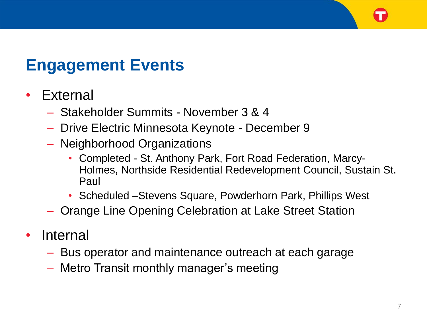#### **Engagement Events**

#### • **External**

- Stakeholder Summits November 3 & 4
- Drive Electric Minnesota Keynote December 9
- Neighborhood Organizations
	- Completed St. Anthony Park, Fort Road Federation, Marcy-Holmes, Northside Residential Redevelopment Council, Sustain St. Paul
	- Scheduled –Stevens Square, Powderhorn Park, Phillips West
- Orange Line Opening Celebration at Lake Street Station
- Internal
	- Bus operator and maintenance outreach at each garage
	- Metro Transit monthly manager's meeting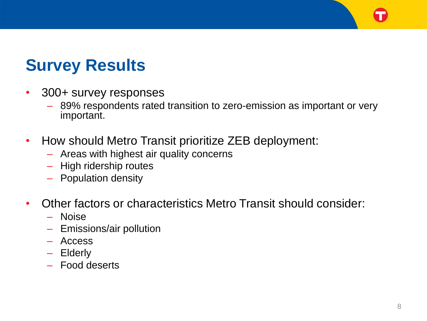# **Survey Results**

- 300+ survey responses
	- 89% respondents rated transition to zero-emission as important or very important.
- How should Metro Transit prioritize ZEB deployment:
	- Areas with highest air quality concerns
	- High ridership routes
	- Population density
- Other factors or characteristics Metro Transit should consider:
	- Noise
	- Emissions/air pollution
	- Access
	- Elderly
	- Food deserts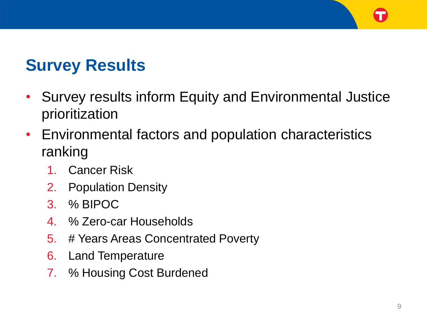# **Survey Results**

- Survey results inform Equity and Environmental Justice prioritization
- Environmental factors and population characteristics ranking
	- 1. Cancer Risk
	- 2. Population Density
	- 3. % BIPOC
	- 4. % Zero-car Households
	- 5. # Years Areas Concentrated Poverty
	- 6. Land Temperature
	- 7. % Housing Cost Burdened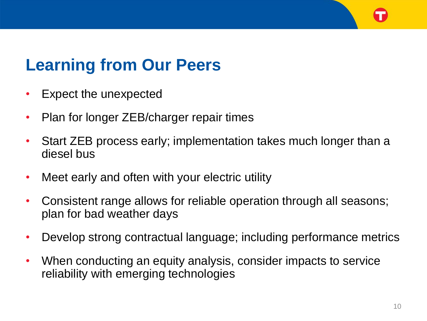# **Learning from Our Peers**

- Expect the unexpected
- Plan for longer ZEB/charger repair times
- Start ZEB process early; implementation takes much longer than a diesel bus
- Meet early and often with your electric utility
- Consistent range allows for reliable operation through all seasons; plan for bad weather days
- Develop strong contractual language; including performance metrics
- When conducting an equity analysis, consider impacts to service reliability with emerging technologies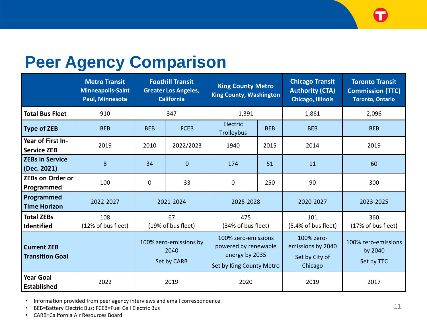#### **Peer Agency Comparison**

|                                              | <b>Metro Transit</b><br><b>Minneapolis-Saint</b><br>Paul, Minnesota | <b>Foothill Transit</b><br><b>Greater Los Angeles,</b><br><b>California</b> |                  | <b>King County Metro</b><br><b>King County, Washington</b>                                |            | <b>Chicago Transit</b><br><b>Authority (CTA)</b><br><b>Chicago, Illinois</b> | <b>Toronto Transit</b><br><b>Commission (TTC)</b><br><b>Toronto, Ontario</b> |
|----------------------------------------------|---------------------------------------------------------------------|-----------------------------------------------------------------------------|------------------|-------------------------------------------------------------------------------------------|------------|------------------------------------------------------------------------------|------------------------------------------------------------------------------|
| <b>Total Bus Fleet</b>                       | 910                                                                 | 347                                                                         |                  | 1,391                                                                                     |            | 1,861                                                                        | 2,096                                                                        |
| <b>Type of ZEB</b>                           | <b>BEB</b>                                                          | <b>BEB</b>                                                                  | <b>FCEB</b>      | Electric<br>Trolleybus                                                                    | <b>BEB</b> | <b>BEB</b>                                                                   | <b>BEB</b>                                                                   |
| Year of First In-<br><b>Service ZEB</b>      | 2019                                                                | 2010                                                                        | 2022/2023        | 1940                                                                                      | 2015       | 2014                                                                         | 2019                                                                         |
| <b>ZEBs in Service</b><br>(Dec. 2021)        | 8                                                                   | 34                                                                          | $\boldsymbol{0}$ | 174                                                                                       | 51         | 11                                                                           | 60                                                                           |
| <b>ZEBs on Order or</b><br>Programmed        | 100                                                                 | $\mathbf{0}$                                                                | 33               | 0                                                                                         | 250        | 90                                                                           | 300                                                                          |
| Programmed<br><b>Time Horizon</b>            | 2022-2027                                                           | 2021-2024                                                                   |                  | 2025-2028                                                                                 |            | 2020-2027                                                                    | 2023-2025                                                                    |
| <b>Total ZEBs</b><br>Identified              | 108<br>(12% of bus fleet)                                           | 67<br>(19% of bus fleet)                                                    |                  | 475<br>(34% of bus fleet)                                                                 |            | 101<br>(5.4% of bus fleet)                                                   | 360<br>(17% of bus fleet)                                                    |
| <b>Current ZEB</b><br><b>Transition Goal</b> |                                                                     | 100% zero-emissions by<br>2040<br>Set by CARB                               |                  | 100% zero-emissions<br>powered by renewable<br>energy by 2035<br>Set by King County Metro |            | 100% zero-<br>emissions by 2040<br>Set by City of<br>Chicago                 | 100% zero-emissions<br>by 2040<br>Set by TTC                                 |
| <b>Year Goal</b><br><b>Established</b>       | 2022                                                                | 2019                                                                        |                  | 2020                                                                                      |            | 2019                                                                         | 2017                                                                         |

• Information provided from peer agency interviews and email correspondence

• BEB=Battery Electric Bus; FCEB=Fuel Cell Electric Bus

• CARB=California Air Resources Board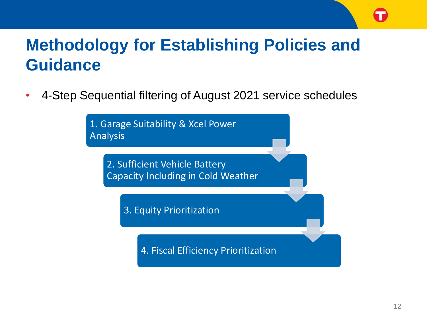## **Methodology for Establishing Policies and Guidance**

• 4-Step Sequential filtering of August 2021 service schedules

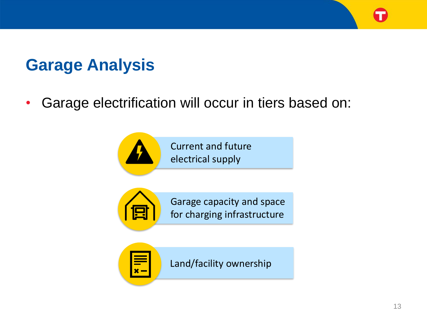

• Garage electrification will occur in tiers based on:



Current and future electrical supply



Garage capacity and space for charging infrastructure



Land/facility ownership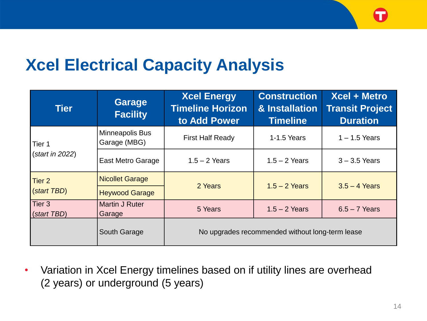### **Xcel Electrical Capacity Analysis**

| <b>Tier</b>               | <b>Garage</b><br><b>Facility</b> | <b>Xcel Energy</b><br><b>Timeline Horizon</b><br>to Add Power | <b>Construction</b><br>& Installation<br><b>Timeline</b> | Xcel + Metro<br><b>Transit Project</b><br><b>Duration</b> |  |
|---------------------------|----------------------------------|---------------------------------------------------------------|----------------------------------------------------------|-----------------------------------------------------------|--|
| Tier 1<br>(start in 2022) | Minneapolis Bus<br>Garage (MBG)  | <b>First Half Ready</b>                                       | 1-1.5 Years                                              | $1 - 1.5$ Years                                           |  |
|                           | <b>East Metro Garage</b>         | $1.5 - 2$ Years                                               | $1.5 - 2$ Years                                          | $3 - 3.5$ Years                                           |  |
| Tier <sub>2</sub>         | <b>Nicollet Garage</b>           | 2 Years                                                       | $1.5 - 2$ Years                                          | $3.5 - 4$ Years                                           |  |
| (start TBD)               | <b>Heywood Garage</b>            |                                                               |                                                          |                                                           |  |
| Tier 3<br>(start TBD)     | Martin J Ruter<br>Garage         | 5 Years                                                       | $1.5 - 2$ Years                                          | $6.5 - 7$ Years                                           |  |
|                           | South Garage                     | No upgrades recommended without long-term lease               |                                                          |                                                           |  |

• Variation in Xcel Energy timelines based on if utility lines are overhead (2 years) or underground (5 years)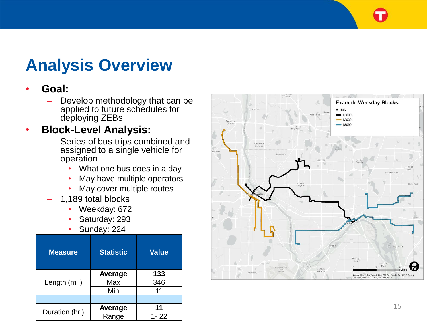## **Analysis Overview**

#### • **Goal:**

- Develop methodology that can be applied to future schedules for deploying ZEBs
- **Block -Level Analysis:**
	- Series of bus trips combined and assigned to a single vehicle for operation
		- What one bus does in a day
		- May have multiple operators
		- May cover multiple routes
	- 1,189 total blocks
		- Weekday: 672
		- Saturday: 293
		- Sunday: 224

| <b>Measure</b> | <b>Statistic</b> | <b>Value</b> |  |
|----------------|------------------|--------------|--|
|                | Average          | 133          |  |
| Length (mi.)   | Max              | 346          |  |
|                | Min              | 11           |  |
|                |                  |              |  |
|                | Average          | 11           |  |
| Duration (hr.) | Range            | $1 - 22$     |  |

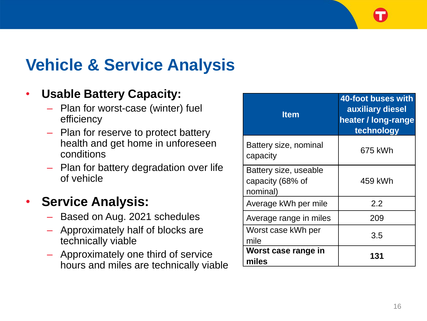# **Vehicle & Service Analysis**

#### • **Usable Battery Capacity:**

- Plan for worst-case (winter) fuel efficiency
- Plan for reserve to protect battery health and get home in unforeseen conditions
- Plan for battery degradation over life of vehicle

#### • **Service Analysis:**

- Based on Aug. 2021 schedules
- Approximately half of blocks are technically viable
- Approximately one third of service hours and miles are technically viable

| <b>Item</b>                                           | 40-foot buses with<br>auxiliary diesel<br>heater / long-range<br>technology |
|-------------------------------------------------------|-----------------------------------------------------------------------------|
| Battery size, nominal<br>capacity                     | 675 kWh                                                                     |
| Battery size, useable<br>capacity (68% of<br>nominal) | 459 kWh                                                                     |
| Average kWh per mile                                  | 2.2                                                                         |
| Average range in miles                                | 209                                                                         |
| Worst case kWh per<br>mile                            | 3.5                                                                         |
| Worst case range in<br>miles                          | 131                                                                         |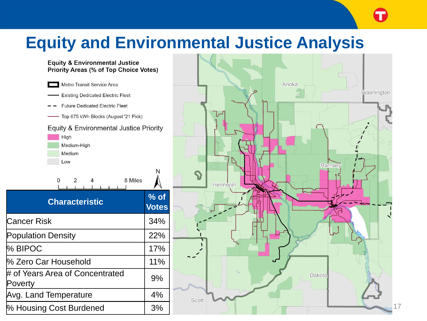## **Equity and Environmental Justice Analysis**

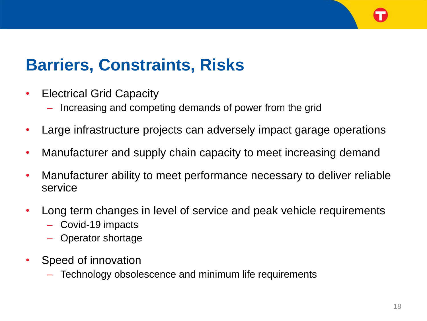# **Barriers, Constraints, Risks**

- Electrical Grid Capacity
	- Increasing and competing demands of power from the grid
- Large infrastructure projects can adversely impact garage operations
- Manufacturer and supply chain capacity to meet increasing demand
- Manufacturer ability to meet performance necessary to deliver reliable service
- Long term changes in level of service and peak vehicle requirements
	- Covid-19 impacts
	- Operator shortage
- Speed of innovation
	- Technology obsolescence and minimum life requirements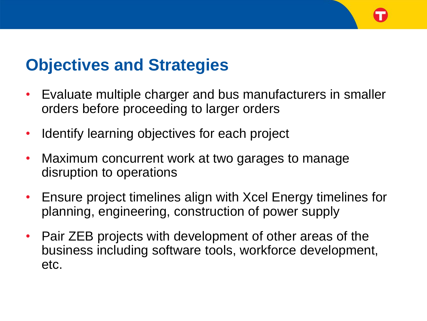#### **Objectives and Strategies**

- Evaluate multiple charger and bus manufacturers in smaller orders before proceeding to larger orders
- Identify learning objectives for each project
- Maximum concurrent work at two garages to manage disruption to operations
- Ensure project timelines align with Xcel Energy timelines for planning, engineering, construction of power supply
- Pair ZEB projects with development of other areas of the business including software tools, workforce development, etc.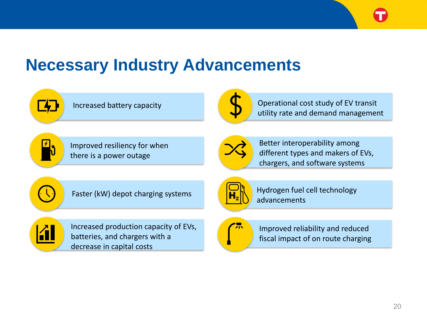

#### **Necessary Industry Advancements**

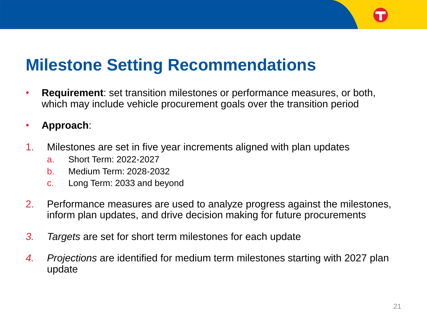### **Milestone Setting Recommendations**

- **Requirement**: set transition milestones or performance measures, or both, which may include vehicle procurement goals over the transition period
- **Approach**:
- 1. Milestones are set in five year increments aligned with plan updates
	- a. Short Term: 2022-2027
	- b. Medium Term: 2028-2032
	- c. Long Term: 2033 and beyond
- 2. Performance measures are used to analyze progress against the milestones, inform plan updates, and drive decision making for future procurements
- *3. Targets* are set for short term milestones for each update
- *4. Projections* are identified for medium term milestones starting with 2027 plan update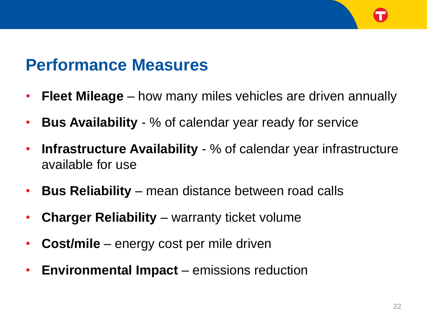#### **Performance Measures**

- **Fleet Mileage**  how many miles vehicles are driven annually
- **Bus Availability**  % of calendar year ready for service
- **Infrastructure Availability** % of calendar year infrastructure available for use
- **Bus Reliability**  mean distance between road calls
- **Charger Reliability** warranty ticket volume
- **Cost/mile** energy cost per mile driven
- **Environmental Impact**  emissions reduction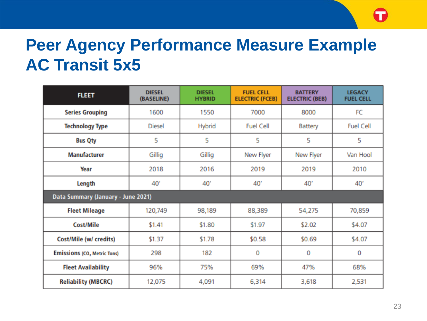## **Peer Agency Performance Measure Example AC Transit 5x5**

| <b>FLEET</b>                                  | <b>DIESEL</b><br>(BASELINE) | <b>DIESEL</b><br><b>HYBRID</b> | <b>FUEL CELL</b><br><b>ELECTRIC (FCEB)</b> | <b>BATTERY</b><br><b>ELECTRIC (BEB)</b> | <b>LEGACY</b><br><b>FUEL CELL</b> |  |  |
|-----------------------------------------------|-----------------------------|--------------------------------|--------------------------------------------|-----------------------------------------|-----------------------------------|--|--|
| <b>Series Grouping</b>                        | 1600                        | 1550                           | 7000                                       | 8000                                    | FC                                |  |  |
| <b>Technology Type</b>                        | <b>Diesel</b>               | Hybrid                         | <b>Fuel Cell</b>                           | Battery                                 | <b>Fuel Cell</b>                  |  |  |
| <b>Bus Qty</b>                                | 5                           | 5                              | 5                                          | 5                                       | 5                                 |  |  |
| <b>Manufacturer</b>                           | Gillig                      | Gillig                         | New Flyer                                  | New Flyer                               | Van Hool                          |  |  |
| Year                                          | 2018                        | 2016                           | 2019                                       | 2019                                    | 2010                              |  |  |
| Length                                        | 40'                         | 40'                            | 40'                                        | 40'                                     | 40'                               |  |  |
| Data Summary (January - June 2021)            |                             |                                |                                            |                                         |                                   |  |  |
| <b>Fleet Mileage</b>                          | 120,749                     | 98,189                         | 88,389                                     | 54,275                                  | 70,859                            |  |  |
| <b>Cost/Mile</b>                              | \$1.41                      | \$1.80                         | \$1.97                                     | \$2.02                                  | \$4.07                            |  |  |
| Cost/Mile (w/ credits)                        | \$1.37                      | \$1.78                         | \$0.58                                     | \$0.69                                  | \$4.07                            |  |  |
| <b>Emissions (CO<sub>2</sub> Metric Tons)</b> | 298                         | 182                            | 0                                          | 0                                       | 0                                 |  |  |
| <b>Fleet Availability</b>                     | 96%                         | 75%                            | 69%                                        | 47%                                     | 68%                               |  |  |
| <b>Reliability (MBCRC)</b>                    | 12,075                      | 4,091                          | 6,314                                      | 3,618                                   | 2,531                             |  |  |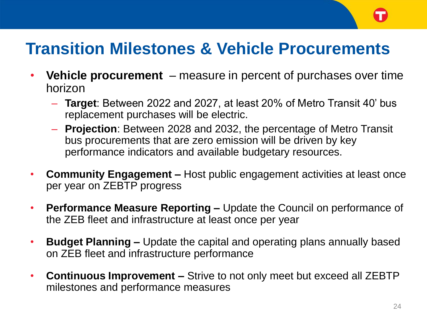### **Transition Milestones & Vehicle Procurements**

- **Vehicle procurement**  measure in percent of purchases over time horizon
	- **Target**: Between 2022 and 2027, at least 20% of Metro Transit 40' bus replacement purchases will be electric.
	- **Projection**: Between 2028 and 2032, the percentage of Metro Transit bus procurements that are zero emission will be driven by key performance indicators and available budgetary resources.
- **Community Engagement –** Host public engagement activities at least once per year on ZEBTP progress
- **Performance Measure Reporting –** Update the Council on performance of the ZEB fleet and infrastructure at least once per year
- **Budget Planning –** Update the capital and operating plans annually based on ZEB fleet and infrastructure performance
- **Continuous Improvement –** Strive to not only meet but exceed all ZEBTP milestones and performance measures